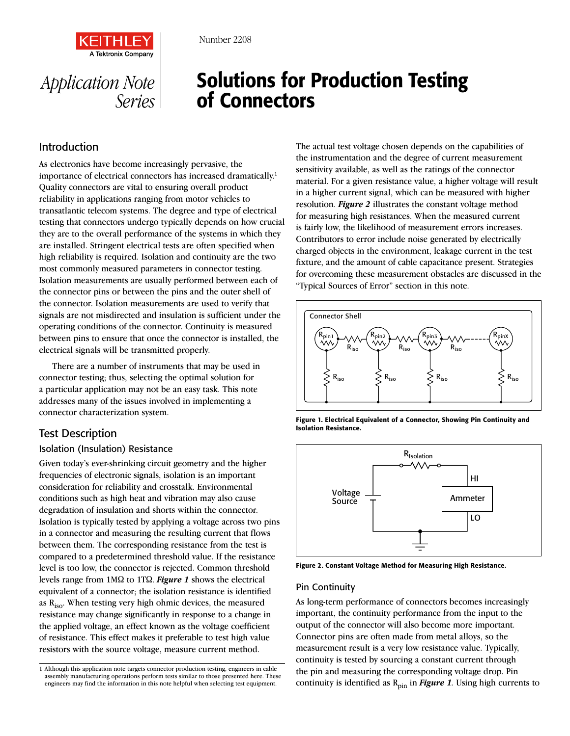

# Solutions for Production Testing of Connectors

## Introduction

*Application Note* 

*Series*

As electronics have become increasingly pervasive, the importance of electrical connectors has increased dramatically.<sup>1</sup> Quality connectors are vital to ensuring overall product reliability in applications ranging from motor vehicles to transatlantic telecom systems. The degree and type of electrical testing that connectors undergo typically depends on how crucial they are to the overall performance of the systems in which they are installed. Stringent electrical tests are often specified when high reliability is required. Isolation and continuity are the two most commonly measured parameters in connector testing. Isolation measurements are usually performed between each of the connector pins or between the pins and the outer shell of the connector. Isolation measurements are used to verify that signals are not misdirected and insulation is sufficient under the operating conditions of the connector. Continuity is measured between pins to ensure that once the connector is installed, the electrical signals will be transmitted properly.

There are a number of instruments that may be used in connector testing; thus, selecting the optimal solution for a particular application may not be an easy task. This note addresses many of the issues involved in implementing a connector characterization system.

## Test Description

## Isolation (Insulation) Resistance

Given today's ever-shrinking circuit geometry and the higher frequencies of electronic signals, isolation is an important consideration for reliability and crosstalk. Environmental conditions such as high heat and vibration may also cause degradation of insulation and shorts within the connector. Isolation is typically tested by applying a voltage across two pins in a connector and measuring the resulting current that flows between them. The corresponding resistance from the test is compared to a predetermined threshold value. If the resistance level is too low, the connector is rejected. Common threshold levels range from  $1 \text{M}\Omega$  to  $1 \text{T}\Omega$ . **Figure 1** shows the electrical equivalent of a connector; the isolation resistance is identified as  $R_{iso}$ . When testing very high ohmic devices, the measured resistance may change significantly in response to a change in the applied voltage, an effect known as the voltage coefficient of resistance. This effect makes it preferable to test high value resistors with the source voltage, measure current method.

1 Although this application note targets connector production testing, engineers in cable assembly manufacturing operations perform tests similar to those presented here. These engineers may find the information in this note helpful when selecting test equipment.

The actual test voltage chosen depends on the capabilities of the instrumentation and the degree of current measurement sensitivity available, as well as the ratings of the connector material. For a given resistance value, a higher voltage will result in a higher current signal, which can be measured with higher resolution. *Figure 2* illustrates the constant voltage method for measuring high resistances. When the measured current is fairly low, the likelihood of measurement errors increases. Contributors to error include noise generated by electrically charged objects in the environment, leakage current in the test fixture, and the amount of cable capacitance present. Strategies for overcoming these measurement obstacles are discussed in the "Typical Sources of Error" section in this note.



Figure 1. Electrical Equivalent of a Connector, Showing Pin Continuity and Isolation Resistance.



Figure 2. Constant Voltage Method for Measuring High Resistance.

#### Pin Continuity

As long-term performance of connectors becomes increasingly important, the continuity performance from the input to the output of the connector will also become more important. Connector pins are often made from metal alloys, so the measurement result is a very low resistance value. Typically, continuity is tested by sourcing a constant current through the pin and measuring the corresponding voltage drop. Pin continuity is identified as  $R_{\text{pin}}$  in *Figure 1*. Using high currents to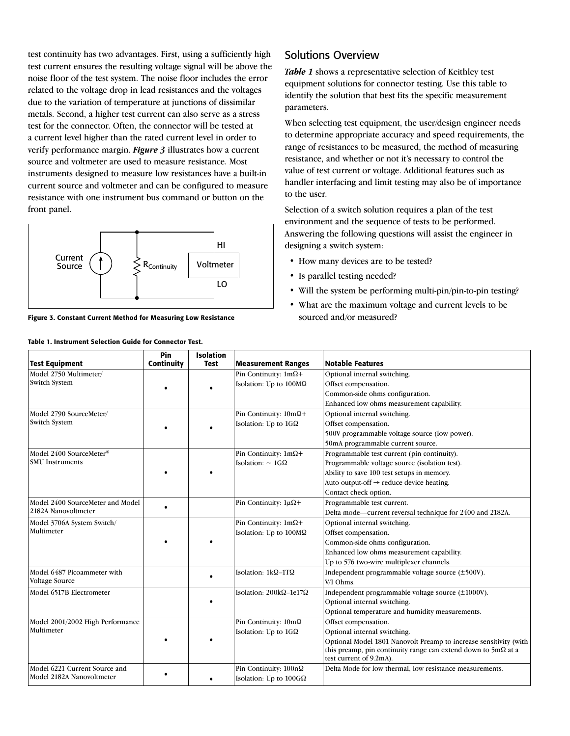test continuity has two advantages. First, using a sufficiently high test current ensures the resulting voltage signal will be above the noise floor of the test system. The noise floor includes the error related to the voltage drop in lead resistances and the voltages due to the variation of temperature at junctions of dissimilar metals. Second, a higher test current can also serve as a stress test for the connector. Often, the connector will be tested at a current level higher than the rated current level in order to verify performance margin. *Figure 3* illustrates how a current source and voltmeter are used to measure resistance. Most instruments designed to measure low resistances have a built-in current source and voltmeter and can be configured to measure resistance with one instrument bus command or button on the front panel.



Figure 3. Constant Current Method for Measuring Low Resistance

Table 1. Instrument Selection Guide for Connector Test.

## Solutions Overview

*Table 1* shows a representative selection of Keithley test equipment solutions for connector testing. Use this table to identify the solution that best fits the specific measurement parameters.

When selecting test equipment, the user/design engineer needs to determine appropriate accuracy and speed requirements, the range of resistances to be measured, the method of measuring resistance, and whether or not it's necessary to control the value of test current or voltage. Additional features such as handler interfacing and limit testing may also be of importance to the user.

Selection of a switch solution requires a plan of the test environment and the sequence of tests to be performed. Answering the following questions will assist the engineer in designing a switch system:

- How many devices are to be tested?
- Is parallel testing needed?
- Will the system be performing multi-pin/pin-to-pin testing?
- What are the maximum voltage and current levels to be sourced and/or measured?

| <b>Test Equipment</b>                         | Pin<br>Continuity | <b>Isolation</b><br><b>Test</b> | <b>Measurement Ranges</b>            | <b>Notable Features</b>                                                                         |
|-----------------------------------------------|-------------------|---------------------------------|--------------------------------------|-------------------------------------------------------------------------------------------------|
| Model 2750 Multimeter/                        |                   |                                 | Pin Continuity: $1m\Omega +$         | Optional internal switching.                                                                    |
| Switch System                                 |                   |                                 | Isolation: Up to $100M\Omega$        | Offset compensation.                                                                            |
|                                               |                   |                                 |                                      | Common-side ohms configuration.                                                                 |
|                                               |                   |                                 |                                      | Enhanced low ohms measurement capability.                                                       |
| Model 2790 SourceMeter/                       |                   |                                 | Pin Continuity: $10m\Omega +$        | Optional internal switching.                                                                    |
| Switch System                                 |                   |                                 | Isolation: Up to $1G\Omega$          | Offset compensation.                                                                            |
|                                               |                   |                                 |                                      | 500V programmable voltage source (low power).                                                   |
|                                               |                   |                                 |                                      | 50mA programmable current source.                                                               |
| Model 2400 SourceMeter®                       |                   |                                 | Pin Continuity: 1m2+                 | Programmable test current (pin continuity).                                                     |
| <b>SMU</b> Instruments                        |                   |                                 | Isolation: $\sim 1G\Omega$           | Programmable voltage source (isolation test).                                                   |
|                                               |                   |                                 |                                      | Ability to save 100 test setups in memory.                                                      |
|                                               |                   |                                 |                                      | Auto output-off → reduce device heating.                                                        |
|                                               |                   |                                 |                                      | Contact check option.                                                                           |
| Model 2400 SourceMeter and Model              |                   |                                 | Pin Continuity: $1\mu\Omega$ +       | Programmable test current.                                                                      |
| 2182A Nanovoltmeter                           | $\bullet$         |                                 |                                      | Delta mode-current reversal technique for 2400 and 2182A.                                       |
|                                               |                   |                                 | Pin Continuity: $1m\Omega +$         | Optional internal switching.                                                                    |
| Model 3706A System Switch/<br>Multimeter      |                   |                                 | Isolation: Up to 100MΩ               | Offset compensation.                                                                            |
|                                               |                   |                                 |                                      | Common-side ohms configuration.                                                                 |
|                                               |                   |                                 |                                      | Enhanced low ohms measurement capability.                                                       |
|                                               |                   |                                 |                                      | Up to 576 two-wire multiplexer channels.                                                        |
|                                               |                   |                                 |                                      |                                                                                                 |
| Model 6487 Picoammeter with<br>Voltage Source |                   | $\bullet$                       | Isolation: $1k\Omega-1T\Omega$       | Independent programmable voltage source (±500V).                                                |
|                                               |                   |                                 |                                      | V/I Ohms.                                                                                       |
| Model 6517B Electrometer                      |                   |                                 | Isolation: $200k\Omega - 1e17\Omega$ | Independent programmable voltage source (±1000V).                                               |
|                                               |                   |                                 |                                      | Optional internal switching.                                                                    |
|                                               |                   |                                 |                                      | Optional temperature and humidity measurements.                                                 |
| Model 2001/2002 High Performance              |                   |                                 | Pin Continuity: 10m2                 | Offset compensation.                                                                            |
| Multimeter                                    |                   |                                 | Isolation: Up to $1G\Omega$          | Optional internal switching.                                                                    |
|                                               |                   |                                 |                                      | Optional Model 1801 Nanovolt Preamp to increase sensitivity (with                               |
|                                               |                   |                                 |                                      | this preamp, pin continuity range can extend down to $5m\Omega$ at a<br>test current of 9.2mA). |
| Model 6221 Current Source and                 |                   |                                 | Pin Continuity: 100nΩ                | Delta Mode for low thermal, low resistance measurements.                                        |
| Model 2182A Nanovoltmeter                     |                   |                                 | Isolation: Up to $100G\Omega$        |                                                                                                 |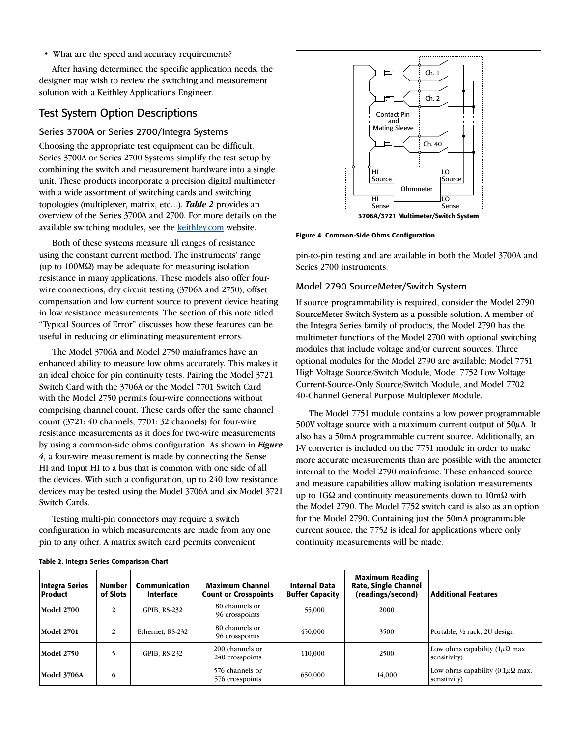#### • What are the speed and accuracy requirements?

After having determined the specific application needs, the designer may wish to review the switching and measurement solution with a Keithley Applications Engineer.

## Test System Option Descriptions

#### Series 3700A or Series 2700/Integra Systems

Choosing the appropriate test equipment can be difficult. Series 3700A or Series 2700 Systems simplify the test setup by combining the switch and measurement hardware into a single unit. These products incorporate a precision digital multimeter with a wide assortment of switching cards and switching topologies (multiplexer, matrix, etc…). *Table 2* provides an overview of the Series 3700A and 2700. For more details on the available switching modules, see the keithley.com website.

Both of these systems measure all ranges of resistance using the constant current method. The instruments' range (up to  $100\text{M}\Omega$ ) may be adequate for measuring isolation resistance in many applications. These models also offer fourwire connections, dry circuit testing (3706A and 2750), offset compensation and low current source to prevent device heating in low resistance measurements. The section of this note titled "Typical Sources of Error" discusses how these features can be useful in reducing or eliminating measurement errors.

The Model 3706A and Model 2750 mainframes have an enhanced ability to measure low ohms accurately. This makes it an ideal choice for pin continuity tests. Pairing the Model 3721 Switch Card with the 3706A or the Model 7701 Switch Card with the Model 2750 permits four-wire connections without comprising channel count. These cards offer the same channel count (3721: 40 channels, 7701: 32 channels) for four-wire resistance measurements as it does for two-wire measurements by using a common-side ohms configuration. As shown in *Figure 4*, a four-wire measurement is made by connecting the Sense HI and Input HI to a bus that is common with one side of all the devices. With such a configuration, up to 240 low resistance devices may be tested using the Model 3706A and six Model 3721 Switch Cards.

Testing multi-pin connectors may require a switch configuration in which measurements are made from any one pin to any other. A matrix switch card permits convenient



Figure 4. Common-Side Ohms Configuration

pin-to-pin testing and are available in both the Model 3700A and Series 2700 instruments.

#### Model 2790 SourceMeter/Switch System

If source programmability is required, consider the Model 2790 SourceMeter Switch System as a possible solution. A member of the Integra Series family of products, the Model 2790 has the multimeter functions of the Model 2700 with optional switching modules that include voltage and/or current sources. Three optional modules for the Model 2790 are available: Model 7751 High Voltage Source/Switch Module, Model 7752 Low Voltage Current-Source-Only Source/Switch Module, and Model 7702 40-Channel General Purpose Multiplexer Module.

The Model 7751 module contains a low power programmable 500V voltage source with a maximum current output of  $50\mu$ A. It also has a 50mA programmable current source. Additionally, an I-V converter is included on the 7751 module in order to make more accurate measurements than are possible with the ammeter internal to the Model 2790 mainframe. These enhanced source and measure capabilities allow making isolation measurements up to  $1G\Omega$  and continuity measurements down to  $10m\Omega$  with the Model 2790. The Model 7752 switch card is also as an option for the Model 2790. Containing just the 50mA programmable current source, the 7752 is ideal for applications where only continuity measurements will be made.

| Integra Series<br>  Product | Number<br>of Slots | Communication<br><b>Interface</b> | <b>Maximum Channel</b><br><b>Count or Crosspoints</b> | <b>Internal Data</b><br><b>Buffer Capacity</b> | <b>Maximum Reading</b><br><b>Rate, Single Channel</b><br>(readings/second) | <b>Additional Features</b>                                        |
|-----------------------------|--------------------|-----------------------------------|-------------------------------------------------------|------------------------------------------------|----------------------------------------------------------------------------|-------------------------------------------------------------------|
| <b>Model 2700</b>           |                    | <b>GPIB, RS-232</b>               | 80 channels or<br>96 crosspoints                      | 55,000                                         | 2000                                                                       |                                                                   |
| <b>Model 2701</b>           |                    | Ethernet, RS-232                  | 80 channels or<br>96 crosspoints                      | 450,000                                        | 3500                                                                       | Portable, 1/2 rack, 2U design                                     |
| <b>Model 2750</b>           |                    | <b>GPIB, RS-232</b>               | 200 channels or<br>240 crosspoints                    | 110,000                                        | 2500                                                                       | Low ohms capability ( $1\mu\Omega$ max.<br>sensitivity)           |
| <b>Model 3706A</b>          | 6                  |                                   | 576 channels or<br>576 crosspoints                    | 650,000                                        | 14,000                                                                     | Low ohms capability $(0.1\mu\Omega \text{ max.})$<br>sensitivity) |

#### Table 2. Integra Series Comparison Chart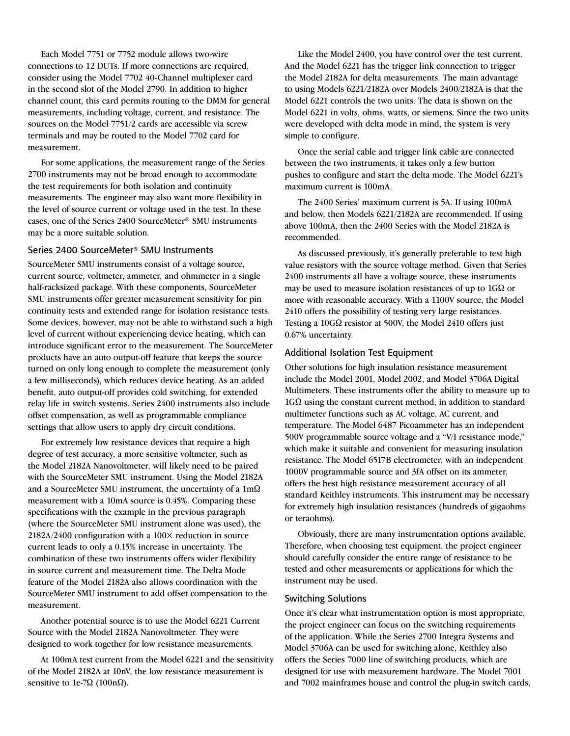Each Model 7751 or 7752 module allows two-wire connections to 12 DUTs. If more connections are required, consider using the Model 7702 40-Channel multiplexer card in the second slot of the Model 2790. In addition to higher channel count, this card permits routing to the DMM for general measurements, including voltage, current, and resistance. The sources on the Model 7751/2 cards are accessible via screw terminals and may be routed to the Model 7702 card for measurement.

For some applications, the measurement range of the Series 2700 instruments may not be broad enough to accommodate the test requirements for both isolation and continuity measurements. The engineer may also want more flexibility in the level of source current or voltage used in the test. In these cases, one of the Series 2400 SourceMeter® SMU instruments may be a more suitable solution.

#### Series 2400 SourceMeter® SMU Instruments

SourceMeter SMU instruments consist of a voltage source, current source, voltmeter, ammeter, and ohmmeter in a single half-racksized package. With these components, SourceMeter SMU instruments offer greater measurement sensitivity for pin continuity tests and extended range for isolation resistance tests. Some devices, however, may not be able to withstand such a high level of current without experiencing device heating, which can introduce significant error to the measurement. The SourceMeter products have an auto output-off feature that keeps the source turned on only long enough to complete the measurement (only a few milliseconds), which reduces device heating. As an added benefit, auto output-off provides cold switching, for extended relay life in switch systems. Series 2400 instruments also include offset compensation, as well as programmable compliance settings that allow users to apply dry circuit conditions.

For extremely low resistance devices that require a high degree of test accuracy, a more sensitive voltmeter, such as the Model 2182A Nanovoltmeter, will likely need to be paired with the SourceMeter SMU instrument. Using the Model 2182A and a SourceMeter SMU instrument, the uncertainty of a  $1m\Omega$ measurement with a 10mA source is 0.45%. Comparing these specifications with the example in the previous paragraph (where the SourceMeter SMU instrument alone was used), the 2182A/2400 configuration with a 100× reduction in source current leads to only a 0.15% increase in uncertainty. The combination of these two instruments offers wider flexibility in source current and measurement time. The Delta Mode feature of the Model 2182A also allows coordination with the SourceMeter SMU instrument to add offset compensation to the measurement.

Another potential source is to use the Model 6221 Current Source with the Model 2182A Nanovoltmeter. They were designed to work together for low resistance measurements.

At 100mA test current from the Model 6221 and the sensitivity of the Model 2182A at 10nV, the low resistance measurement is sensitive to 1e-7 $\Omega$  (100n $\Omega$ ).

Like the Model 2400, you have control over the test current. And the Model 6221 has the trigger link connection to trigger the Model 2182A for delta measurements. The main advantage to using Models 6221/2182A over Models 2400/2182A is that the Model 6221 controls the two units. The data is shown on the Model 6221 in volts, ohms, watts, or siemens. Since the two units were developed with delta mode in mind, the system is very simple to configure.

Once the serial cable and trigger link cable are connected between the two instruments, it takes only a few button pushes to configure and start the delta mode. The Model 6221's maximum current is 100mA.

The 2400 Series' maximum current is 5A. If using 100mA and below, then Models 6221/2182A are recommended. If using above 100mA, then the 2400 Series with the Model 2182A is recommended.

As discussed previously, it's generally preferable to test high value resistors with the source voltage method. Given that Series 2400 instruments all have a voltage source, these instruments may be used to measure isolation resistances of up to  $1G\Omega$  or more with reasonable accuracy. With a 1100V source, the Model 2410 offers the possibility of testing very large resistances. Testing a  $10G\Omega$  resistor at 500V, the Model 2410 offers just 0.67% uncertainty.

#### Additional Isolation Test Equipment

Other solutions for high insulation resistance measurement include the Model 2001, Model 2002, and Model 3706A Digital Multimeters. These instruments offer the ability to measure up to  $1G\Omega$  using the constant current method, in addition to standard multimeter functions such as AC voltage, AC current, and temperature. The Model 6487 Picoammeter has an independent 500V programmable source voltage and a "V/I resistance mode," which make it suitable and convenient for measuring insulation resistance. The Model 6517B electrometer, with an independent 1000V programmable source and 3fA offset on its ammeter, offers the best high resistance measurement accuracy of all standard Keithley instruments. This instrument may be necessary for extremely high insulation resistances (hundreds of gigaohms or teraohms).

Obviously, there are many instrumentation options available. Therefore, when choosing test equipment, the project engineer should carefully consider the entire range of resistance to be tested and other measurements or applications for which the instrument may be used.

#### Switching Solutions

Once it's clear what instrumentation option is most appropriate, the project engineer can focus on the switching requirements of the application. While the Series 2700 Integra Systems and Model 3706A can be used for switching alone, Keithley also offers the Series 7000 line of switching products, which are designed for use with measurement hardware. The Model 7001 and 7002 mainframes house and control the plug-in switch cards,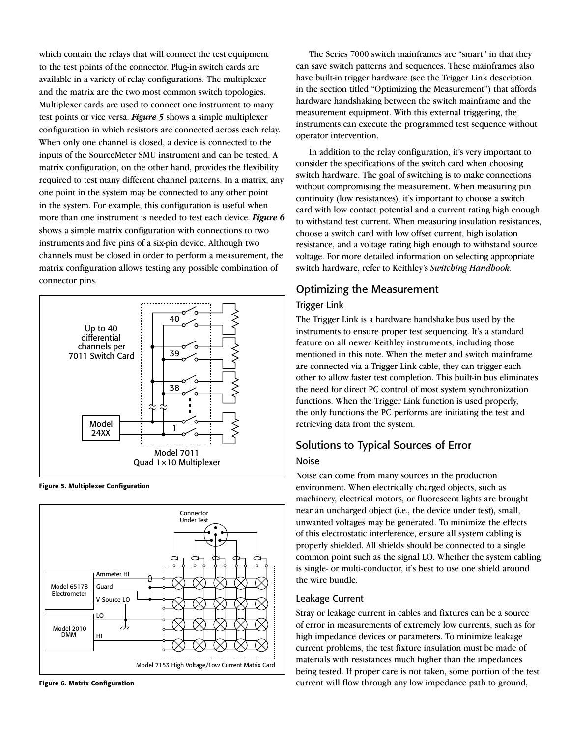which contain the relays that will connect the test equipment to the test points of the connector. Plug-in switch cards are available in a variety of relay configurations. The multiplexer and the matrix are the two most common switch topologies. Multiplexer cards are used to connect one instrument to many test points or vice versa. *Figure 5* shows a simple multiplexer configuration in which resistors are connected across each relay. When only one channel is closed, a device is connected to the inputs of the SourceMeter SMU instrument and can be tested. A matrix configuration, on the other hand, provides the flexibility required to test many different channel patterns. In a matrix, any one point in the system may be connected to any other point in the system. For example, this configuration is useful when more than one instrument is needed to test each device. *Figure 6* shows a simple matrix configuration with connections to two instruments and five pins of a six-pin device. Although two channels must be closed in order to perform a measurement, the matrix configuration allows testing any possible combination of connector pins.



Figure 5. Multiplexer Configuration



Figure 6. Matrix Configuration

The Series 7000 switch mainframes are "smart" in that they can save switch patterns and sequences. These mainframes also have built-in trigger hardware (see the Trigger Link description in the section titled "Optimizing the Measurement") that affords hardware handshaking between the switch mainframe and the measurement equipment. With this external triggering, the instruments can execute the programmed test sequence without operator intervention.

In addition to the relay configuration, it's very important to consider the specifications of the switch card when choosing switch hardware. The goal of switching is to make connections without compromising the measurement. When measuring pin continuity (low resistances), it's important to choose a switch card with low contact potential and a current rating high enough to withstand test current. When measuring insulation resistances, choose a switch card with low offset current, high isolation resistance, and a voltage rating high enough to withstand source voltage. For more detailed information on selecting appropriate switch hardware, refer to Keithley's *Switching Handbook*.

# Optimizing the Measurement Trigger Link

The Trigger Link is a hardware handshake bus used by the instruments to ensure proper test sequencing. It's a standard feature on all newer Keithley instruments, including those mentioned in this note. When the meter and switch mainframe are connected via a Trigger Link cable, they can trigger each other to allow faster test completion. This built-in bus eliminates the need for direct PC control of most system synchronization functions. When the Trigger Link function is used properly, the only functions the PC performs are initiating the test and retrieving data from the system.

# Solutions to Typical Sources of Error

### Noise

Noise can come from many sources in the production environment. When electrically charged objects, such as machinery, electrical motors, or fluorescent lights are brought near an uncharged object (i.e., the device under test), small, unwanted voltages may be generated. To minimize the effects of this electrostatic interference, ensure all system cabling is properly shielded. All shields should be connected to a single common point such as the signal LO. Whether the system cabling is single- or multi-conductor, it's best to use one shield around the wire bundle.

## Leakage Current

Stray or leakage current in cables and fixtures can be a source of error in measurements of extremely low currents, such as for high impedance devices or parameters. To minimize leakage current problems, the test fixture insulation must be made of materials with resistances much higher than the impedances being tested. If proper care is not taken, some portion of the test current will flow through any low impedance path to ground,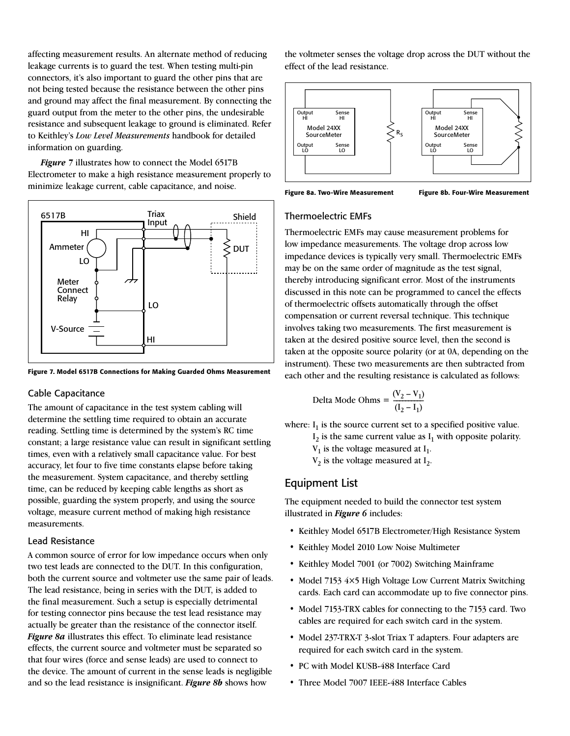affecting measurement results. An alternate method of reducing leakage currents is to guard the test. When testing multi-pin connectors, it's also important to guard the other pins that are not being tested because the resistance between the other pins and ground may affect the final measurement. By connecting the guard output from the meter to the other pins, the undesirable resistance and subsequent leakage to ground is eliminated. Refer to Keithley's *Low Level Measurements* handbook for detailed information on guarding.

*Figure 7* illustrates how to connect the Model 6517B Electrometer to make a high resistance measurement properly to minimize leakage current, cable capacitance, and noise.



Figure 7. Model 6517B Connections for Making Guarded Ohms Measurement

#### Cable Capacitance

The amount of capacitance in the test system cabling will determine the settling time required to obtain an accurate reading. Settling time is determined by the system's RC time constant; a large resistance value can result in significant settling times, even with a relatively small capacitance value. For best accuracy, let four to five time constants elapse before taking the measurement. System capacitance, and thereby settling time, can be reduced by keeping cable lengths as short as possible, guarding the system properly, and using the source voltage, measure current method of making high resistance measurements.

#### Lead Resistance

A common source of error for low impedance occurs when only two test leads are connected to the DUT. In this configuration, both the current source and voltmeter use the same pair of leads. The lead resistance, being in series with the DUT, is added to the final measurement. Such a setup is especially detrimental for testing connector pins because the test lead resistance may actually be greater than the resistance of the connector itself. *Figure 8a* illustrates this effect. To eliminate lead resistance effects, the current source and voltmeter must be separated so that four wires (force and sense leads) are used to connect to the device. The amount of current in the sense leads is negligible and so the lead resistance is insignificant. *Figure 8b* shows how

the voltmeter senses the voltage drop across the DUT without the effect of the lead resistance.



Figure 8a. Two-Wire Measurement Figure 8b. Four-Wire Measurement

#### Thermoelectric EMFs

Thermoelectric EMFs may cause measurement problems for low impedance measurements. The voltage drop across low impedance devices is typically very small. Thermoelectric EMFs may be on the same order of magnitude as the test signal, thereby introducing significant error. Most of the instruments discussed in this note can be programmed to cancel the effects of thermoelectric offsets automatically through the offset compensation or current reversal technique. This technique involves taking two measurements. The first measurement is taken at the desired positive source level, then the second is taken at the opposite source polarity (or at 0A, depending on the instrument). These two measurements are then subtracted from each other and the resulting resistance is calculated as follows:

Delta Mode Ohms = 
$$
\frac{(V_2 - V_1)}{(I_2 - I_1)}
$$

where:  $I_1$  is the source current set to a specified positive value.

 $I_2$  is the same current value as  $I_1$  with opposite polarity.

 $V_1$  is the voltage measured at  $I_1$ .

 $V_2$  is the voltage measured at  $I_2$ .

### Equipment List

The equipment needed to build the connector test system illustrated in *Figure 6* includes:

- Keithley Model 6517B Electrometer/High Resistance System
- Keithley Model 2010 Low Noise Multimeter
- Keithley Model 7001 (or 7002) Switching Mainframe
- Model 7153 4×5 High Voltage Low Current Matrix Switching cards. Each card can accommodate up to five connector pins.
- Model 7153-TRX cables for connecting to the 7153 card. Two cables are required for each switch card in the system.
- Model 237-TRX-T 3-slot Triax T adapters. Four adapters are required for each switch card in the system.
- PC with Model KUSB-488 Interface Card
- Three Model 7007 IEEE-488 Interface Cables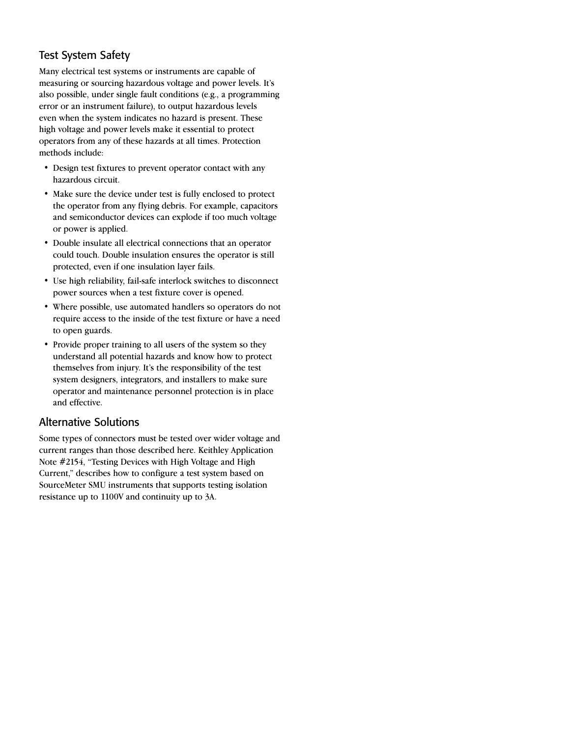# Test System Safety

Many electrical test systems or instruments are capable of measuring or sourcing hazardous voltage and power levels. It's also possible, under single fault conditions (e.g., a programming error or an instrument failure), to output hazardous levels even when the system indicates no hazard is present. These high voltage and power levels make it essential to protect operators from any of these hazards at all times. Protection methods include:

- Design test fixtures to prevent operator contact with any hazardous circuit.
- Make sure the device under test is fully enclosed to protect the operator from any flying debris. For example, capacitors and semiconductor devices can explode if too much voltage or power is applied.
- Double insulate all electrical connections that an operator could touch. Double insulation ensures the operator is still protected, even if one insulation layer fails.
- Use high reliability, fail-safe interlock switches to disconnect power sources when a test fixture cover is opened.
- Where possible, use automated handlers so operators do not require access to the inside of the test fixture or have a need to open guards.
- Provide proper training to all users of the system so they understand all potential hazards and know how to protect themselves from injury. It's the responsibility of the test system designers, integrators, and installers to make sure operator and maintenance personnel protection is in place and effective.

# Alternative Solutions

Some types of connectors must be tested over wider voltage and current ranges than those described here. Keithley Application Note #2154, "Testing Devices with High Voltage and High Current," describes how to configure a test system based on SourceMeter SMU instruments that supports testing isolation resistance up to 1100V and continuity up to 3A.